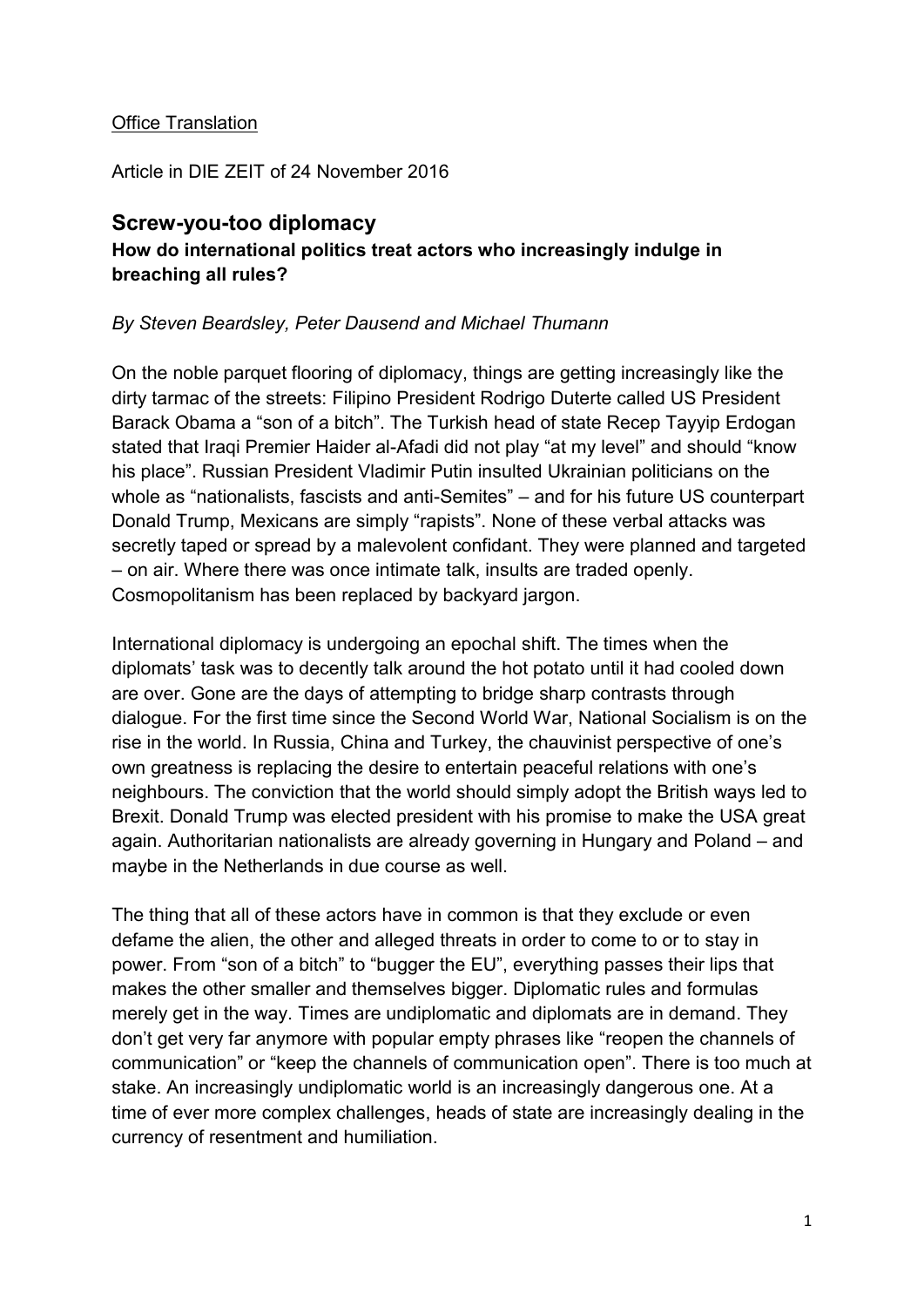## Office Translation

Article in DIE ZEIT of 24 November 2016

## **Screw-you-too diplomacy How do international politics treat actors who increasingly indulge in breaching all rules?**

## *By Steven Beardsley, Peter Dausend and Michael Thumann*

On the noble parquet flooring of diplomacy, things are getting increasingly like the dirty tarmac of the streets: Filipino President Rodrigo Duterte called US President Barack Obama a "son of a bitch". The Turkish head of state Recep Tayyip Erdogan stated that Iraqi Premier Haider al-Afadi did not play "at my level" and should "know his place". Russian President Vladimir Putin insulted Ukrainian politicians on the whole as "nationalists, fascists and anti-Semites" – and for his future US counterpart Donald Trump, Mexicans are simply "rapists". None of these verbal attacks was secretly taped or spread by a malevolent confidant. They were planned and targeted – on air. Where there was once intimate talk, insults are traded openly. Cosmopolitanism has been replaced by backyard jargon.

International diplomacy is undergoing an epochal shift. The times when the diplomats' task was to decently talk around the hot potato until it had cooled down are over. Gone are the days of attempting to bridge sharp contrasts through dialogue. For the first time since the Second World War, National Socialism is on the rise in the world. In Russia, China and Turkey, the chauvinist perspective of one's own greatness is replacing the desire to entertain peaceful relations with one's neighbours. The conviction that the world should simply adopt the British ways led to Brexit. Donald Trump was elected president with his promise to make the USA great again. Authoritarian nationalists are already governing in Hungary and Poland – and maybe in the Netherlands in due course as well.

The thing that all of these actors have in common is that they exclude or even defame the alien, the other and alleged threats in order to come to or to stay in power. From "son of a bitch" to "bugger the EU", everything passes their lips that makes the other smaller and themselves bigger. Diplomatic rules and formulas merely get in the way. Times are undiplomatic and diplomats are in demand. They don't get very far anymore with popular empty phrases like "reopen the channels of communication" or "keep the channels of communication open". There is too much at stake. An increasingly undiplomatic world is an increasingly dangerous one. At a time of ever more complex challenges, heads of state are increasingly dealing in the currency of resentment and humiliation.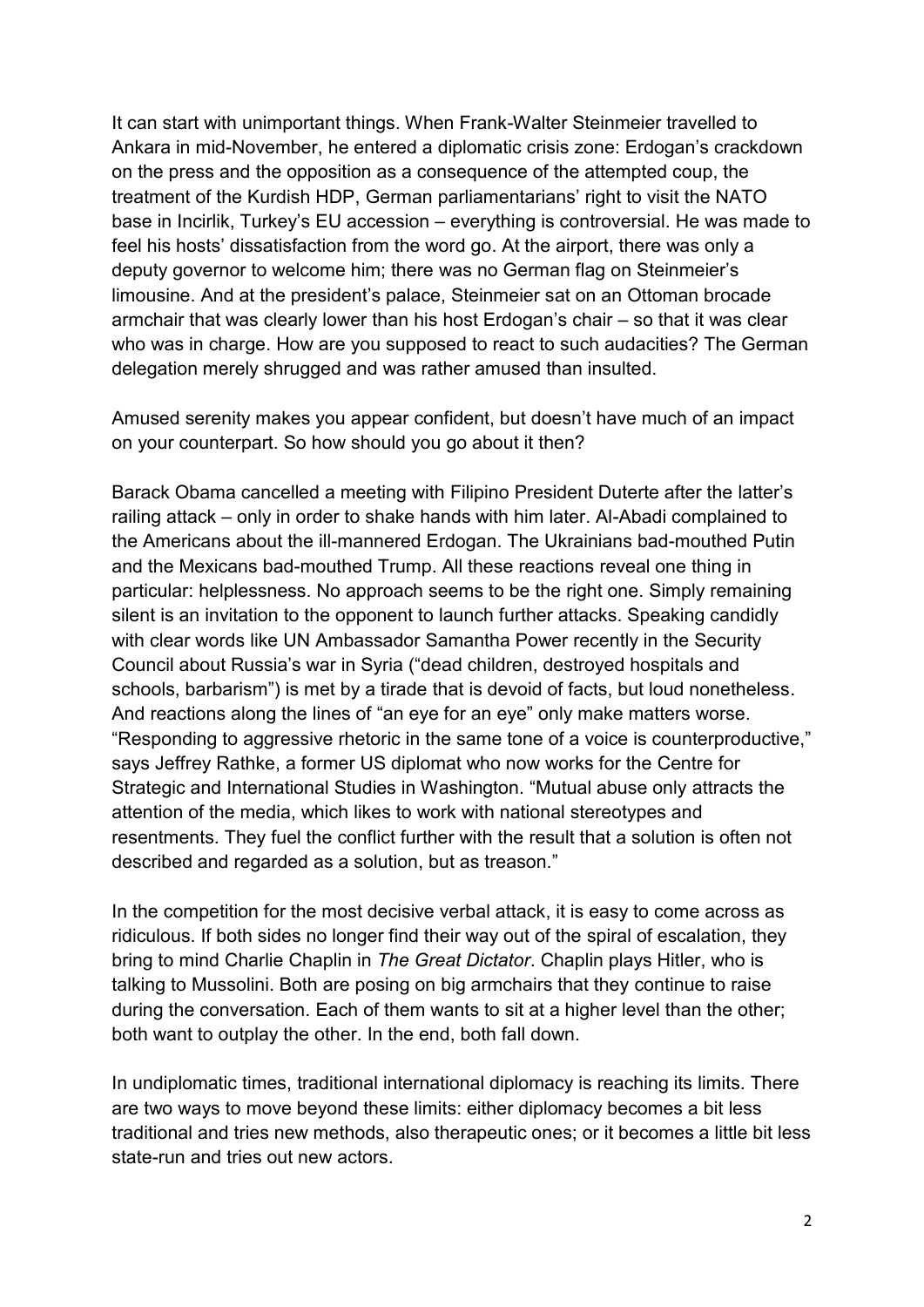It can start with unimportant things. When Frank-Walter Steinmeier travelled to Ankara in mid-November, he entered a diplomatic crisis zone: Erdogan's crackdown on the press and the opposition as a consequence of the attempted coup, the treatment of the Kurdish HDP, German parliamentarians' right to visit the NATO base in Incirlik, Turkey's EU accession – everything is controversial. He was made to feel his hosts' dissatisfaction from the word go. At the airport, there was only a deputy governor to welcome him; there was no German flag on Steinmeier's limousine. And at the president's palace, Steinmeier sat on an Ottoman brocade armchair that was clearly lower than his host Erdogan's chair – so that it was clear who was in charge. How are you supposed to react to such audacities? The German delegation merely shrugged and was rather amused than insulted.

Amused serenity makes you appear confident, but doesn't have much of an impact on your counterpart. So how should you go about it then?

Barack Obama cancelled a meeting with Filipino President Duterte after the latter's railing attack – only in order to shake hands with him later. Al-Abadi complained to the Americans about the ill-mannered Erdogan. The Ukrainians bad-mouthed Putin and the Mexicans bad-mouthed Trump. All these reactions reveal one thing in particular: helplessness. No approach seems to be the right one. Simply remaining silent is an invitation to the opponent to launch further attacks. Speaking candidly with clear words like UN Ambassador Samantha Power recently in the Security Council about Russia's war in Syria ("dead children, destroyed hospitals and schools, barbarism") is met by a tirade that is devoid of facts, but loud nonetheless. And reactions along the lines of "an eye for an eye" only make matters worse. "Responding to aggressive rhetoric in the same tone of a voice is counterproductive," says Jeffrey Rathke, a former US diplomat who now works for the Centre for Strategic and International Studies in Washington. "Mutual abuse only attracts the attention of the media, which likes to work with national stereotypes and resentments. They fuel the conflict further with the result that a solution is often not described and regarded as a solution, but as treason."

In the competition for the most decisive verbal attack, it is easy to come across as ridiculous. If both sides no longer find their way out of the spiral of escalation, they bring to mind Charlie Chaplin in *The Great Dictator*. Chaplin plays Hitler, who is talking to Mussolini. Both are posing on big armchairs that they continue to raise during the conversation. Each of them wants to sit at a higher level than the other; both want to outplay the other. In the end, both fall down.

In undiplomatic times, traditional international diplomacy is reaching its limits. There are two ways to move beyond these limits: either diplomacy becomes a bit less traditional and tries new methods, also therapeutic ones; or it becomes a little bit less state-run and tries out new actors.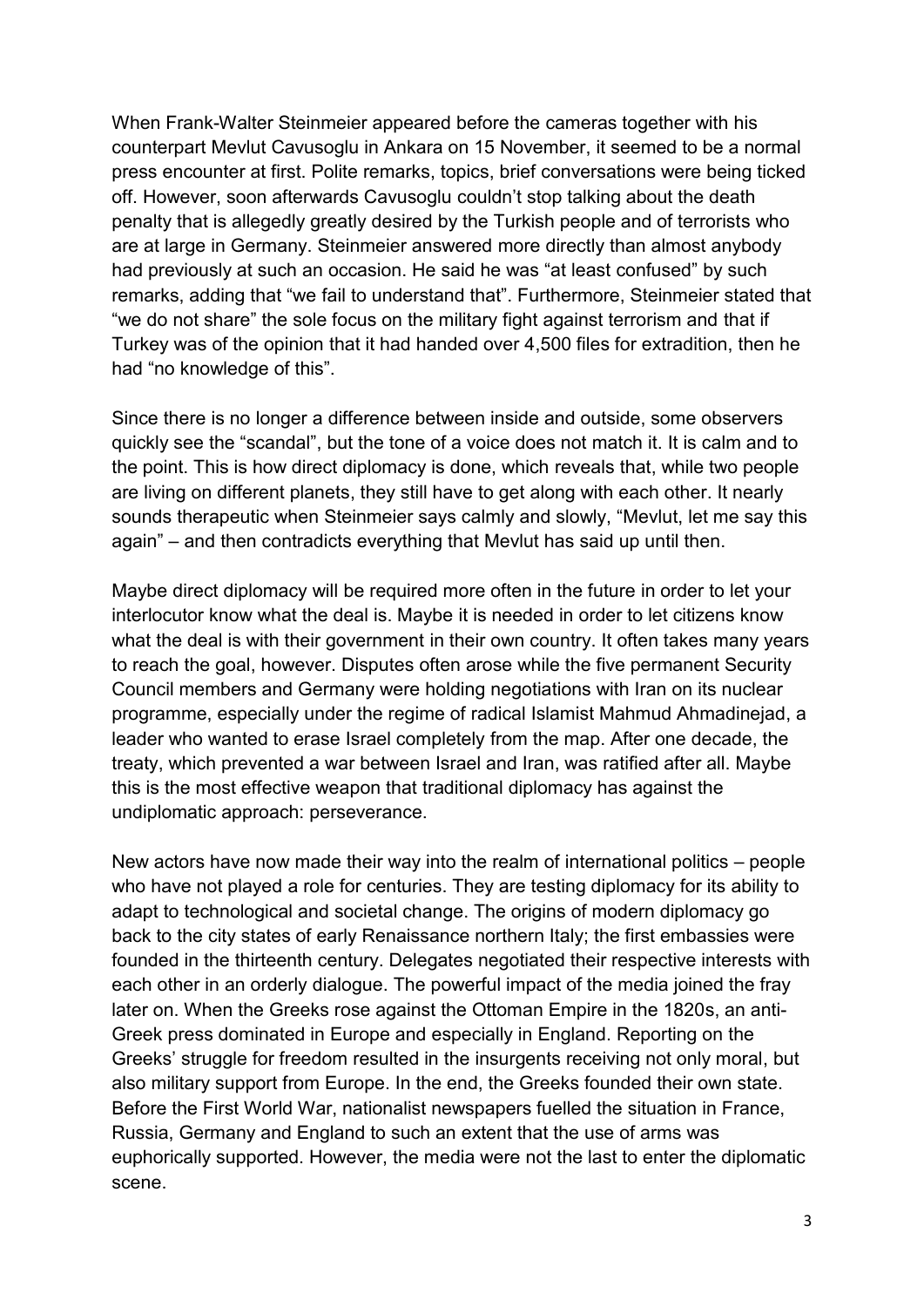When Frank-Walter Steinmeier appeared before the cameras together with his counterpart Mevlut Cavusoglu in Ankara on 15 November, it seemed to be a normal press encounter at first. Polite remarks, topics, brief conversations were being ticked off. However, soon afterwards Cavusoglu couldn't stop talking about the death penalty that is allegedly greatly desired by the Turkish people and of terrorists who are at large in Germany. Steinmeier answered more directly than almost anybody had previously at such an occasion. He said he was "at least confused" by such remarks, adding that "we fail to understand that". Furthermore, Steinmeier stated that "we do not share" the sole focus on the military fight against terrorism and that if Turkey was of the opinion that it had handed over 4,500 files for extradition, then he had "no knowledge of this".

Since there is no longer a difference between inside and outside, some observers quickly see the "scandal", but the tone of a voice does not match it. It is calm and to the point. This is how direct diplomacy is done, which reveals that, while two people are living on different planets, they still have to get along with each other. It nearly sounds therapeutic when Steinmeier says calmly and slowly, "Mevlut, let me say this again" – and then contradicts everything that Mevlut has said up until then.

Maybe direct diplomacy will be required more often in the future in order to let your interlocutor know what the deal is. Maybe it is needed in order to let citizens know what the deal is with their government in their own country. It often takes many years to reach the goal, however. Disputes often arose while the five permanent Security Council members and Germany were holding negotiations with Iran on its nuclear programme, especially under the regime of radical Islamist Mahmud Ahmadinejad, a leader who wanted to erase Israel completely from the map. After one decade, the treaty, which prevented a war between Israel and Iran, was ratified after all. Maybe this is the most effective weapon that traditional diplomacy has against the undiplomatic approach: perseverance.

New actors have now made their way into the realm of international politics – people who have not played a role for centuries. They are testing diplomacy for its ability to adapt to technological and societal change. The origins of modern diplomacy go back to the city states of early Renaissance northern Italy; the first embassies were founded in the thirteenth century. Delegates negotiated their respective interests with each other in an orderly dialogue. The powerful impact of the media joined the fray later on. When the Greeks rose against the Ottoman Empire in the 1820s, an anti-Greek press dominated in Europe and especially in England. Reporting on the Greeks' struggle for freedom resulted in the insurgents receiving not only moral, but also military support from Europe. In the end, the Greeks founded their own state. Before the First World War, nationalist newspapers fuelled the situation in France, Russia, Germany and England to such an extent that the use of arms was euphorically supported. However, the media were not the last to enter the diplomatic scene.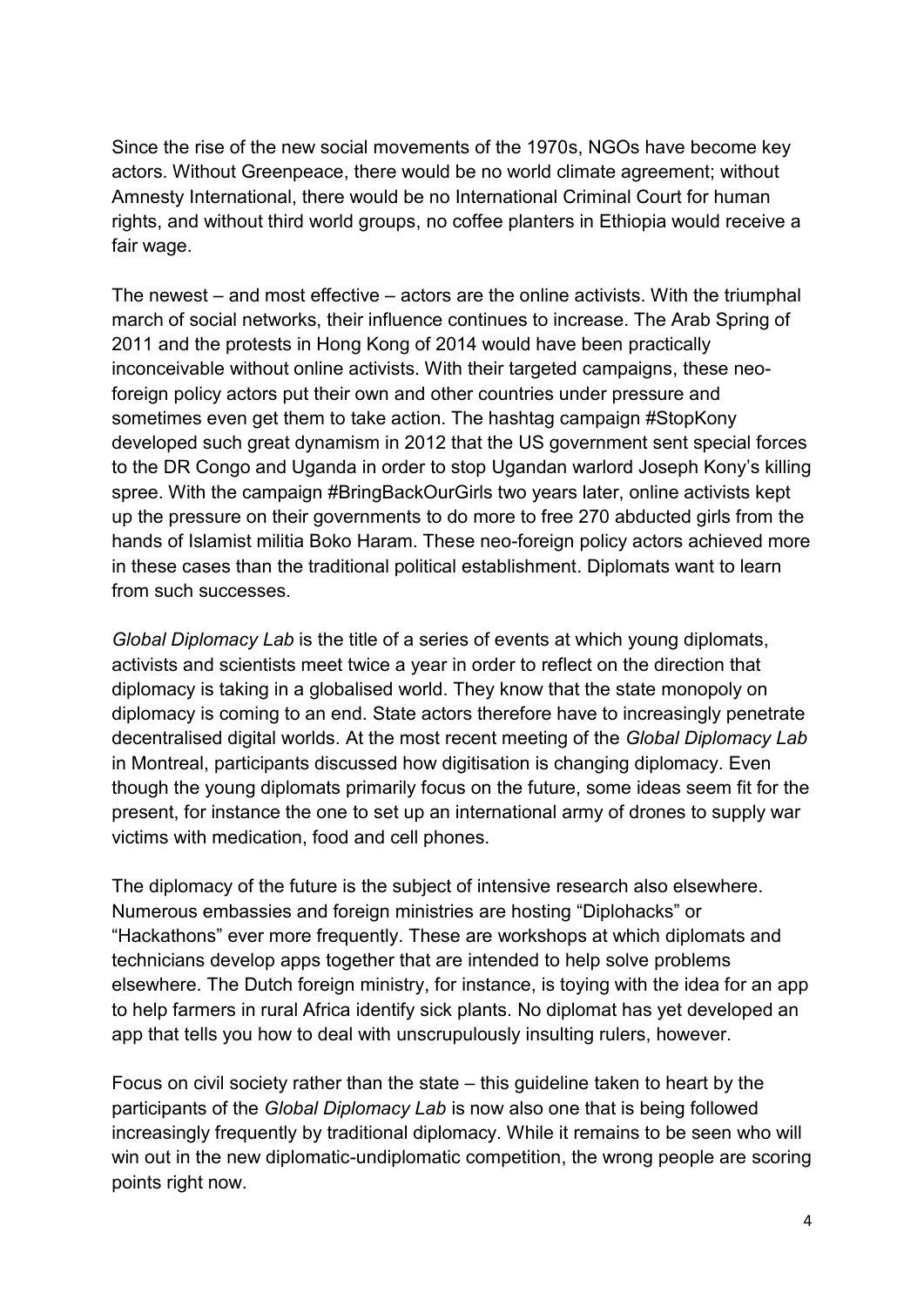Since the rise of the new social movements of the 1970s, NGOs have become key actors. Without Greenpeace, there would be no world climate agreement; without Amnesty International, there would be no International Criminal Court for human rights, and without third world groups, no coffee planters in Ethiopia would receive a fair wage.

The newest – and most effective – actors are the online activists. With the triumphal march of social networks, their influence continues to increase. The Arab Spring of 2011 and the protests in Hong Kong of 2014 would have been practically inconceivable without online activists. With their targeted campaigns, these neoforeign policy actors put their own and other countries under pressure and sometimes even get them to take action. The hashtag campaign #StopKony developed such great dynamism in 2012 that the US government sent special forces to the DR Congo and Uganda in order to stop Ugandan warlord Joseph Kony's killing spree. With the campaign #BringBackOurGirls two years later, online activists kept up the pressure on their governments to do more to free 270 abducted girls from the hands of Islamist militia Boko Haram. These neo-foreign policy actors achieved more in these cases than the traditional political establishment. Diplomats want to learn from such successes.

*Global Diplomacy Lab* is the title of a series of events at which young diplomats, activists and scientists meet twice a year in order to reflect on the direction that diplomacy is taking in a globalised world. They know that the state monopoly on diplomacy is coming to an end. State actors therefore have to increasingly penetrate decentralised digital worlds. At the most recent meeting of the *Global Diplomacy Lab* in Montreal, participants discussed how digitisation is changing diplomacy. Even though the young diplomats primarily focus on the future, some ideas seem fit for the present, for instance the one to set up an international army of drones to supply war victims with medication, food and cell phones.

The diplomacy of the future is the subject of intensive research also elsewhere. Numerous embassies and foreign ministries are hosting "Diplohacks" or "Hackathons" ever more frequently. These are workshops at which diplomats and technicians develop apps together that are intended to help solve problems elsewhere. The Dutch foreign ministry, for instance, is toying with the idea for an app to help farmers in rural Africa identify sick plants. No diplomat has yet developed an app that tells you how to deal with unscrupulously insulting rulers, however.

Focus on civil society rather than the state – this guideline taken to heart by the participants of the *Global Diplomacy Lab* is now also one that is being followed increasingly frequently by traditional diplomacy. While it remains to be seen who will win out in the new diplomatic-undiplomatic competition, the wrong people are scoring points right now.